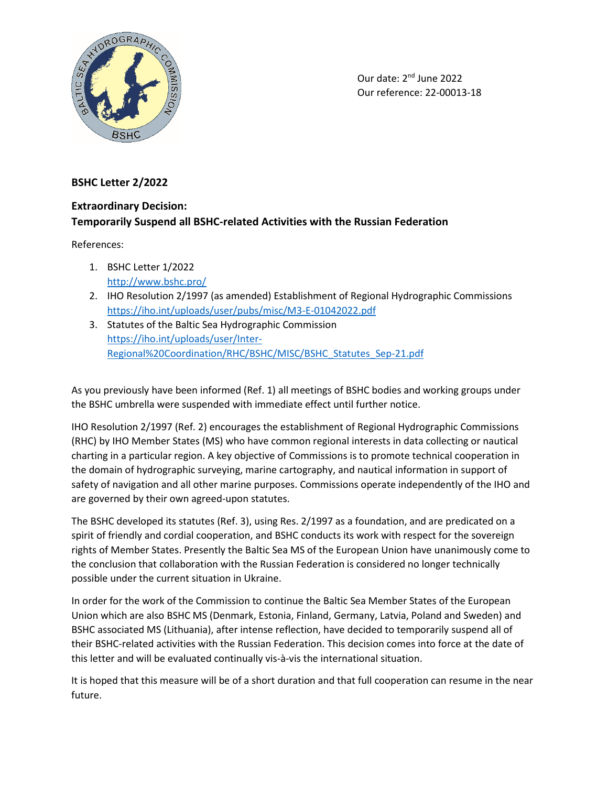

Our date: 2nd June 2022 Our reference: 22-00013-18

## **BSHC Letter 2/2022**

## **Extraordinary Decision: Temporarily Suspend all BSHC-related Activities with the Russian Federation**

References:

- 1. BSHC Letter 1/2022 <http://www.bshc.pro/>
- 2. IHO Resolution 2/1997 (as amended) Establishment of Regional Hydrographic Commissions <https://iho.int/uploads/user/pubs/misc/M3-E-01042022.pdf>
- 3. Statutes of the Baltic Sea Hydrographic Commission [https://iho.int/uploads/user/Inter-](https://iho.int/uploads/user/Inter-Regional%20Coordination/RHC/BSHC/MISC/BSHC_Statutes_Sep-21.pdf)[Regional%20Coordination/RHC/BSHC/MISC/BSHC\\_Statutes\\_Sep-21.pdf](https://iho.int/uploads/user/Inter-Regional%20Coordination/RHC/BSHC/MISC/BSHC_Statutes_Sep-21.pdf)

As you previously have been informed (Ref. 1) all meetings of BSHC bodies and working groups under the BSHC umbrella were suspended with immediate effect until further notice.

IHO Resolution 2/1997 (Ref. 2) encourages the establishment of Regional Hydrographic Commissions (RHC) by IHO Member States (MS) who have common regional interests in data collecting or nautical charting in a particular region. A key objective of Commissions is to promote technical cooperation in the domain of hydrographic surveying, marine cartography, and nautical information in support of safety of navigation and all other marine purposes. Commissions operate independently of the IHO and are governed by their own agreed-upon statutes.

The BSHC developed its statutes (Ref. 3), using Res. 2/1997 as a foundation, and are predicated on a spirit of friendly and cordial cooperation, and BSHC conducts its work with respect for the sovereign rights of Member States. Presently the Baltic Sea MS of the European Union have unanimously come to the conclusion that collaboration with the Russian Federation is considered no longer technically possible under the current situation in Ukraine.

In order for the work of the Commission to continue the Baltic Sea Member States of the European Union which are also BSHC MS (Denmark, Estonia, Finland, Germany, Latvia, Poland and Sweden) and BSHC associated MS (Lithuania), after intense reflection, have decided to temporarily suspend all of their BSHC-related activities with the Russian Federation. This decision comes into force at the date of this letter and will be evaluated continually vis-à-vis the international situation.

It is hoped that this measure will be of a short duration and that full cooperation can resume in the near future.